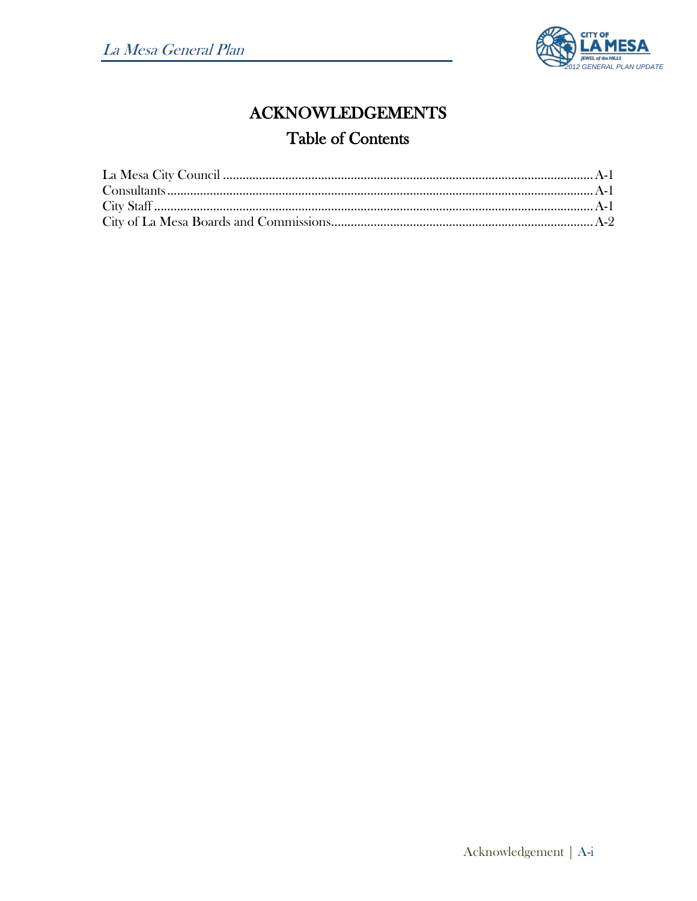

# **ACKNOWLEDGEMENTS Table of Contents**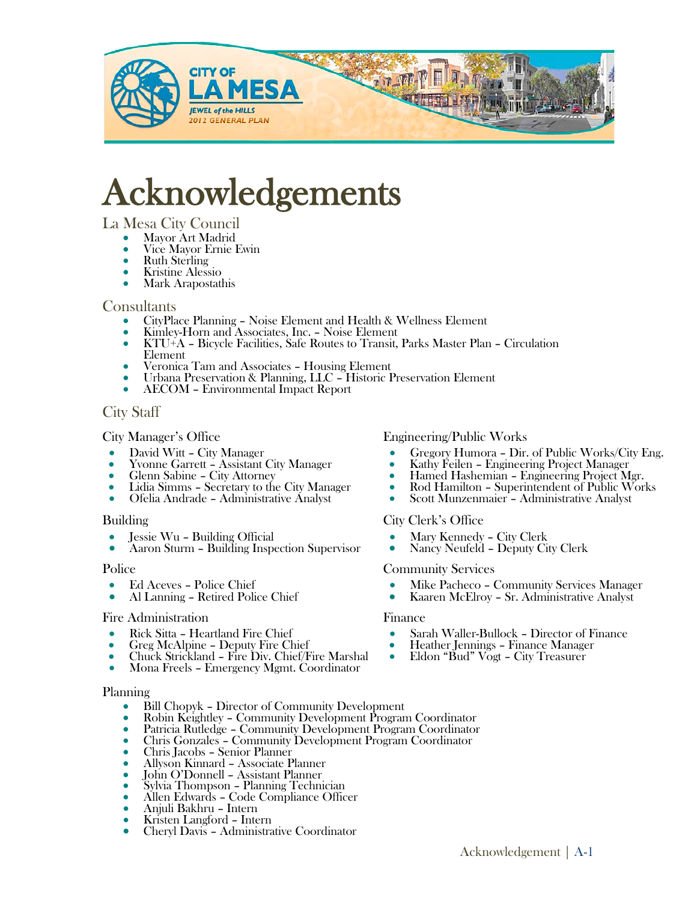

# Acknowledgements<br>
La Mesa City Council<br>• Mayor Art Madrid<br>• Vice Mayor Ernie Ewin<br>• Ruth Sterling<br>• Kristine Alessio<br>• Mark Arapostathis

- 
- 
- 
- 

- 
- 
- Consultants CityPlace Planning Noise Element and Health & Wellness Element Kimley-Horn and Associates, Inc. Noise Element KTU+A Bicycle Facilities, Safe Routes to Transit, Parks Master Plan Circulation
	-
	- Veronica Tam and Associates Housing Element<br>
	Urbana Preservation & Planning, LLC Historic Preservation Element<br>
	AECOM Environmental Impact Report
	-

### City Staff

City Manager's Office

- 
- 
- 
- David Witt City Manager Yvonne Garrett Assistant City Manager Glenn Sabine City Attorney Lidia Simms Secretary to the City Manager Ofelia Andrade Administrative Analyst
- 

### Building

- 
- Jessie Wu Building Official Aaron Sturm Building Inspection Supervisor

### Police

- 
- Ed Aceves Police Chief Al Lanning Retired Police Chief

### Fire Administration

- 
- 
- Rick Sitta Heartland Fire Chief Greg McAlpine Deputy Fire Chief Chuck Strickland Fire Div. Chief/Fire Marshal Mona Freels Emergency Mgmt. Coordinator
- 

### Planning

- 
- Bill Chopyk Director of Community Development<br>
 Robin Keightley Community Development Program Coordinator<br>
 Patricia Rutledge Community Development Program Coordinator<br>
 Chris Gonzales Community Development Pr
- 
- 
- 
- 
- 
- 
- 
- 
- 
- 

### Engineering/Public Works

- 
- 
- 
- Gregory Humora Dir. of Public Works/City Eng.<br>• Kathy Feilen Engineering Project Manager<br>• Hamed Hashemian Engineering Project Mgr.<br>• Rod Hamilton Superintendent of Public Works<br>• Scott Munzenmaier Administrati
- 

### City Clerk's Office

- 
- Mary Kennedy City Clerk Nancy Neufeld Deputy City Clerk

### Community Services

- 
- Mike Pacheco Community Services Manager Kaaren McElroy Sr. Administrative Analyst

### Finance

- Sarah Waller-Bullock Director of Finance Heather Jennings Finance Manager Eldon "Bud" Vogt City Treasurer
- 
-